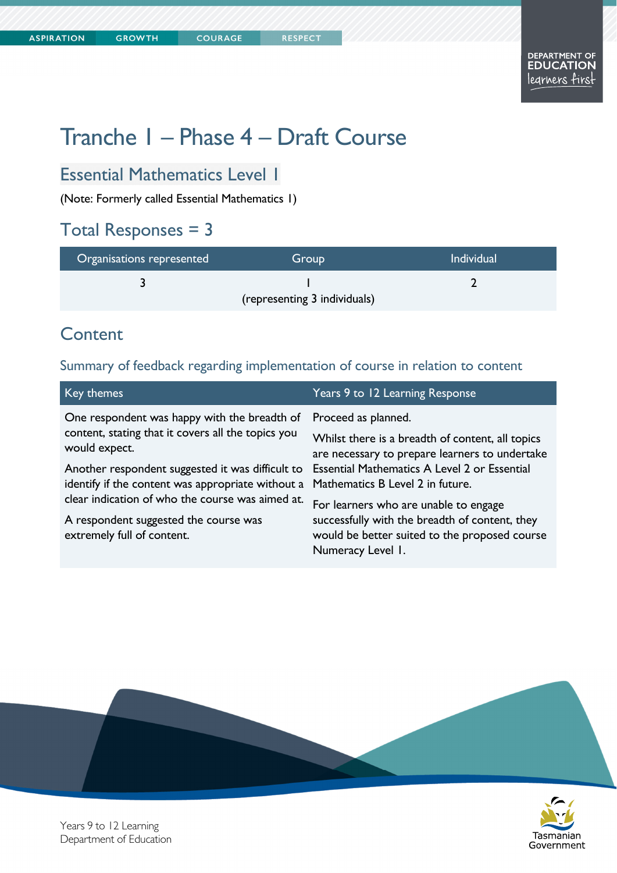Tasmanian Government

# Tranche 1 – Phase 4 – Draft Course

## Essential Mathematics Level 1

(Note: Formerly called Essential Mathematics 1)

#### Total Responses = 3

| Organisations represented    | Group | <b>Individual</b> |
|------------------------------|-------|-------------------|
|                              |       |                   |
| (representing 3 individuals) |       |                   |

#### **Content**

Summary of feedback regarding implementation of course in relation to content

| Key themes                                                                                                                                                                                                                                                                                                                                              | Years 9 to 12 Learning Response                                                                                                                                                                                                                                                                                                                                                |
|---------------------------------------------------------------------------------------------------------------------------------------------------------------------------------------------------------------------------------------------------------------------------------------------------------------------------------------------------------|--------------------------------------------------------------------------------------------------------------------------------------------------------------------------------------------------------------------------------------------------------------------------------------------------------------------------------------------------------------------------------|
| One respondent was happy with the breadth of<br>content, stating that it covers all the topics you<br>would expect.<br>Another respondent suggested it was difficult to<br>identify if the content was appropriate without a<br>clear indication of who the course was aimed at.<br>A respondent suggested the course was<br>extremely full of content. | Proceed as planned.<br>Whilst there is a breadth of content, all topics<br>are necessary to prepare learners to undertake<br>Essential Mathematics A Level 2 or Essential<br>Mathematics B Level 2 in future.<br>For learners who are unable to engage<br>successfully with the breadth of content, they<br>would be better suited to the proposed course<br>Numeracy Level 1. |
|                                                                                                                                                                                                                                                                                                                                                         |                                                                                                                                                                                                                                                                                                                                                                                |



Years 9 to 12 Learning Department of Education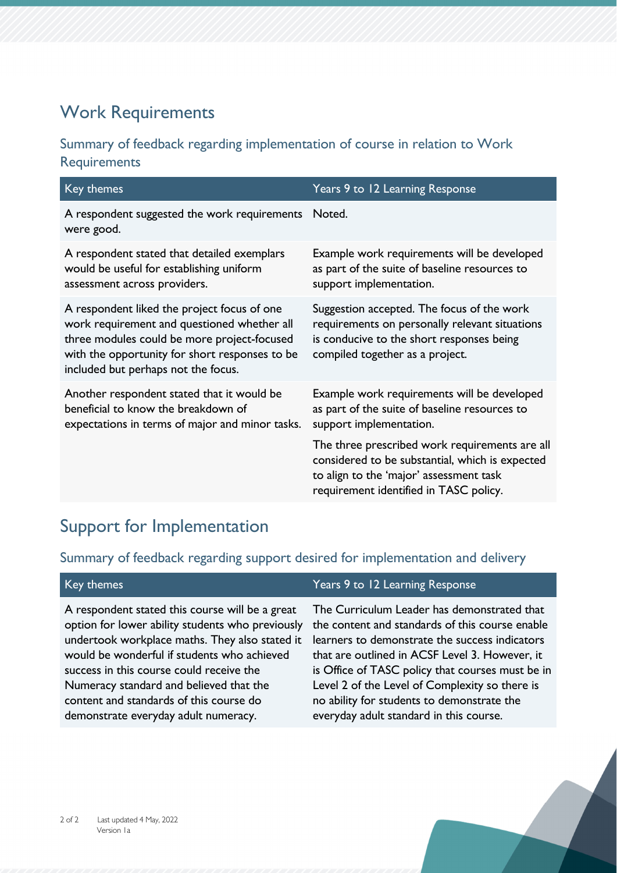## Work Requirements

#### Summary of feedback regarding implementation of course in relation to Work **Requirements**

| Key themes                                                                                                                                                                                                                         | Years 9 to 12 Learning Response                                                                                                                                                        |
|------------------------------------------------------------------------------------------------------------------------------------------------------------------------------------------------------------------------------------|----------------------------------------------------------------------------------------------------------------------------------------------------------------------------------------|
| A respondent suggested the work requirements<br>were good.                                                                                                                                                                         | Noted.                                                                                                                                                                                 |
| A respondent stated that detailed exemplars<br>would be useful for establishing uniform<br>assessment across providers.                                                                                                            | Example work requirements will be developed<br>as part of the suite of baseline resources to<br>support implementation.                                                                |
| A respondent liked the project focus of one<br>work requirement and questioned whether all<br>three modules could be more project-focused<br>with the opportunity for short responses to be<br>included but perhaps not the focus. | Suggestion accepted. The focus of the work<br>requirements on personally relevant situations<br>is conducive to the short responses being<br>compiled together as a project.           |
| Another respondent stated that it would be<br>beneficial to know the breakdown of<br>expectations in terms of major and minor tasks.                                                                                               | Example work requirements will be developed<br>as part of the suite of baseline resources to<br>support implementation.                                                                |
|                                                                                                                                                                                                                                    | The three prescribed work requirements are all<br>considered to be substantial, which is expected<br>to align to the 'major' assessment task<br>requirement identified in TASC policy. |

### Support for Implementation

#### Summary of feedback regarding support desired for implementation and delivery

| Key themes                                                                                                                                                                                                                                                                                                                                                                     | Years 9 to 12 Learning Response                                                                                                                                                                                                                                                                                                                                                                   |
|--------------------------------------------------------------------------------------------------------------------------------------------------------------------------------------------------------------------------------------------------------------------------------------------------------------------------------------------------------------------------------|---------------------------------------------------------------------------------------------------------------------------------------------------------------------------------------------------------------------------------------------------------------------------------------------------------------------------------------------------------------------------------------------------|
| A respondent stated this course will be a great<br>option for lower ability students who previously<br>undertook workplace maths. They also stated it<br>would be wonderful if students who achieved<br>success in this course could receive the<br>Numeracy standard and believed that the<br>content and standards of this course do<br>demonstrate everyday adult numeracy. | The Curriculum Leader has demonstrated that<br>the content and standards of this course enable<br>learners to demonstrate the success indicators<br>that are outlined in ACSF Level 3. However, it<br>is Office of TASC policy that courses must be in<br>Level 2 of the Level of Complexity so there is<br>no ability for students to demonstrate the<br>everyday adult standard in this course. |
|                                                                                                                                                                                                                                                                                                                                                                                |                                                                                                                                                                                                                                                                                                                                                                                                   |